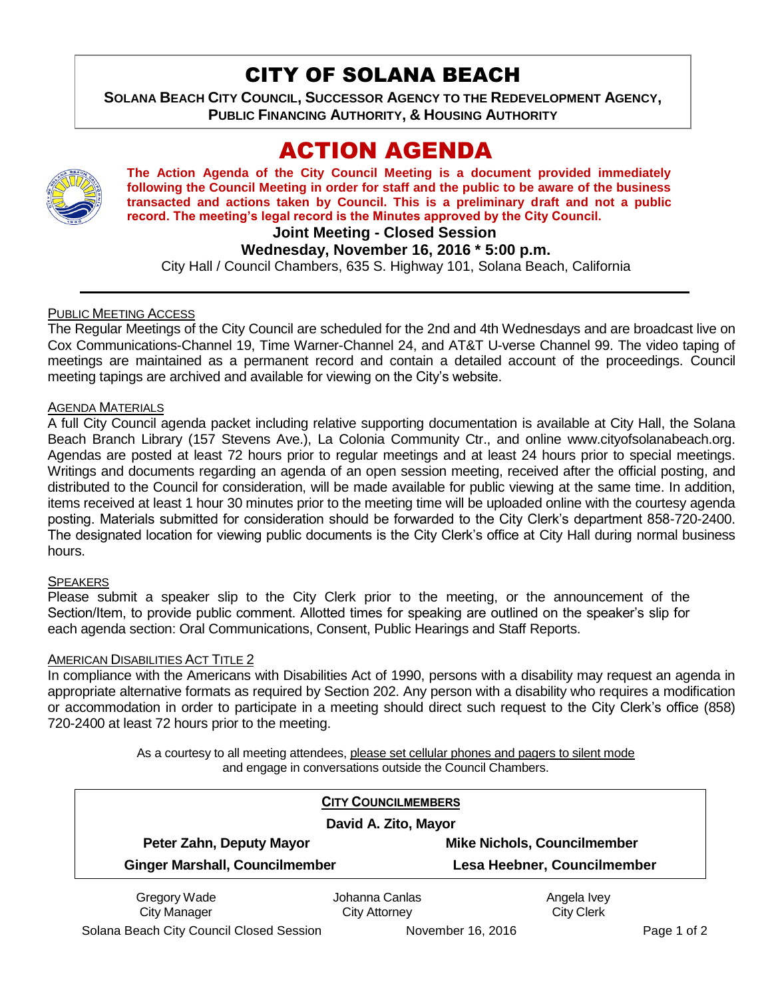# CITY OF SOLANA BEACH

**SOLANA BEACH CITY COUNCIL, SUCCESSOR AGENCY TO THE REDEVELOPMENT AGENCY, PUBLIC FINANCING AUTHORITY, & HOUSING AUTHORITY** 

# ACTION AGENDA



**The Action Agenda of the City Council Meeting is a document provided immediately following the Council Meeting in order for staff and the public to be aware of the business transacted and actions taken by Council. This is a preliminary draft and not a public record. The meeting's legal record is the Minutes approved by the City Council.**

**Joint Meeting - Closed Session**

## **Wednesday, November 16, 2016 \* 5:00 p.m.**

City Hall / Council Chambers, 635 S. Highway 101, Solana Beach, California

## PUBLIC MEETING ACCESS

The Regular Meetings of the City Council are scheduled for the 2nd and 4th Wednesdays and are broadcast live on Cox Communications-Channel 19, Time Warner-Channel 24, and AT&T U-verse Channel 99. The video taping of meetings are maintained as a permanent record and contain a detailed account of the proceedings. Council meeting tapings are archived and available for viewing on the City's website.

## AGENDA MATERIALS

A full City Council agenda packet including relative supporting documentation is available at City Hall, the Solana Beach Branch Library (157 Stevens Ave.), La Colonia Community Ctr., and online www.cityofsolanabeach.org. Agendas are posted at least 72 hours prior to regular meetings and at least 24 hours prior to special meetings. Writings and documents regarding an agenda of an open session meeting, received after the official posting, and distributed to the Council for consideration, will be made available for public viewing at the same time. In addition, items received at least 1 hour 30 minutes prior to the meeting time will be uploaded online with the courtesy agenda posting. Materials submitted for consideration should be forwarded to the City Clerk's department 858-720-2400. The designated location for viewing public documents is the City Clerk's office at City Hall during normal business hours.

## SPEAKERS

Please submit a speaker slip to the City Clerk prior to the meeting, or the announcement of the Section/Item, to provide public comment. Allotted times for speaking are outlined on the speaker's slip for each agenda section: Oral Communications, Consent, Public Hearings and Staff Reports.

## AMERICAN DISABILITIES ACT TITLE 2

In compliance with the Americans with Disabilities Act of 1990, persons with a disability may request an agenda in appropriate alternative formats as required by Section 202. Any person with a disability who requires a modification or accommodation in order to participate in a meeting should direct such request to the City Clerk's office (858) 720-2400 at least 72 hours prior to the meeting.

> As a courtesy to all meeting attendees, please set cellular phones and pagers to silent mode and engage in conversations outside the Council Chambers.

|                                       | <b>CITY COUNCILMEMBERS</b> |                                    |
|---------------------------------------|----------------------------|------------------------------------|
| David A. Zito, Mayor                  |                            |                                    |
| Peter Zahn, Deputy Mayor              |                            | <b>Mike Nichols, Councilmember</b> |
| <b>Ginger Marshall, Councilmember</b> |                            | Lesa Heebner, Councilmember        |
| Gregory Wade                          | Johanna Canlas             | Angela Ivey                        |
| <b>City Manager</b>                   | <b>City Attorney</b>       | <b>City Clerk</b>                  |

Solana Beach City Council Closed Session November 16, 2016 **Page 1 of 2** Page 1 of 2